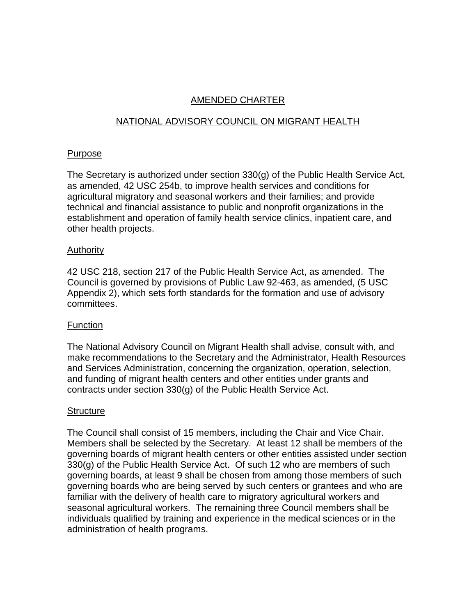# AMENDED CHARTER

# NATIONAL ADVISORY COUNCIL ON MIGRANT HEALTH

### Purpose

The Secretary is authorized under section 330(g) of the Public Health Service Act, as amended, 42 USC 254b, to improve health services and conditions for agricultural migratory and seasonal workers and their families; and provide technical and financial assistance to public and nonprofit organizations in the establishment and operation of family health service clinics, inpatient care, and other health projects.

### Authority

42 USC 218, section 217 of the Public Health Service Act, as amended. The Council is governed by provisions of Public Law 92-463, as amended, (5 USC Appendix 2), which sets forth standards for the formation and use of advisory committees.

## Function

The National Advisory Council on Migrant Health shall advise, consult with, and make recommendations to the Secretary and the Administrator, Health Resources and Services Administration, concerning the organization, operation, selection, and funding of migrant health centers and other entities under grants and contracts under section 330(g) of the Public Health Service Act.

## **Structure**

The Council shall consist of 15 members, including the Chair and Vice Chair. Members shall be selected by the Secretary. At least 12 shall be members of the governing boards of migrant health centers or other entities assisted under section 330(g) of the Public Health Service Act. Of such 12 who are members of such governing boards, at least 9 shall be chosen from among those members of such governing boards who are being served by such centers or grantees and who are familiar with the delivery of health care to migratory agricultural workers and seasonal agricultural workers. The remaining three Council members shall be individuals qualified by training and experience in the medical sciences or in the administration of health programs.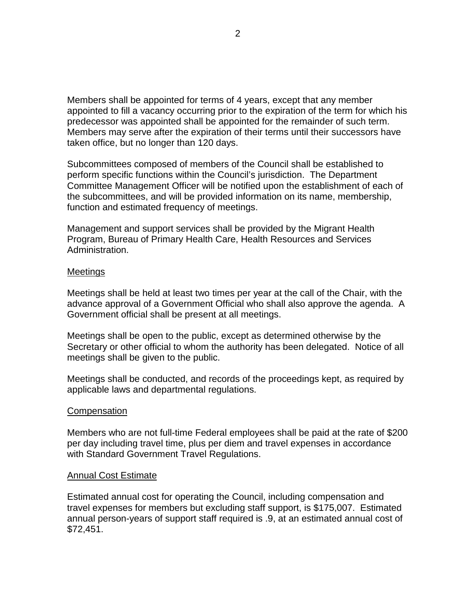Members shall be appointed for terms of 4 years, except that any member appointed to fill a vacancy occurring prior to the expiration of the term for which his predecessor was appointed shall be appointed for the remainder of such term. Members may serve after the expiration of their terms until their successors have taken office, but no longer than 120 days.

Subcommittees composed of members of the Council shall be established to perform specific functions within the Council's jurisdiction. The Department Committee Management Officer will be notified upon the establishment of each of the subcommittees, and will be provided information on its name, membership, function and estimated frequency of meetings.

Management and support services shall be provided by the Migrant Health Program, Bureau of Primary Health Care, Health Resources and Services Administration.

#### **Meetings**

Meetings shall be held at least two times per year at the call of the Chair, with the advance approval of a Government Official who shall also approve the agenda. A Government official shall be present at all meetings.

Meetings shall be open to the public, except as determined otherwise by the Secretary or other official to whom the authority has been delegated. Notice of all meetings shall be given to the public.

Meetings shall be conducted, and records of the proceedings kept, as required by applicable laws and departmental regulations.

#### **Compensation**

Members who are not full-time Federal employees shall be paid at the rate of \$200 per day including travel time, plus per diem and travel expenses in accordance with Standard Government Travel Regulations.

#### Annual Cost Estimate

Estimated annual cost for operating the Council, including compensation and travel expenses for members but excluding staff support, is \$175,007. Estimated annual person-years of support staff required is .9, at an estimated annual cost of \$72,451.